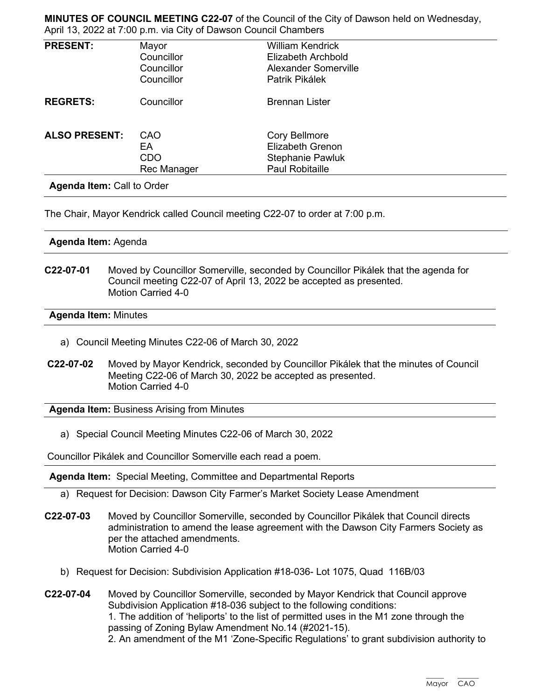**MINUTES OF COUNCIL MEETING C22-07** of the Council of the City of Dawson held on Wednesday, April 13, 2022 at 7:00 p.m. via City of Dawson Council Chambers

| <b>PRESENT:</b>      | Mayor<br>Councillor<br>Councillor<br>Councillor | <b>William Kendrick</b><br>Elizabeth Archbold<br><b>Alexander Somerville</b><br>Patrik Pikálek       |  |
|----------------------|-------------------------------------------------|------------------------------------------------------------------------------------------------------|--|
| <b>REGRETS:</b>      | Councillor                                      | <b>Brennan Lister</b>                                                                                |  |
| <b>ALSO PRESENT:</b> | CAO<br>EA<br><b>CDO</b><br>Rec Manager          | <b>Cory Bellmore</b><br><b>Elizabeth Grenon</b><br><b>Stephanie Pawluk</b><br><b>Paul Robitaille</b> |  |

The Chair, Mayor Kendrick called Council meeting C22-07 to order at 7:00 p.m.

**Agenda Item:** Agenda

**C22-07-01** Moved by Councillor Somerville, seconded by Councillor Pikálek that the agenda for Council meeting C22-07 of April 13, 2022 be accepted as presented. Motion Carried 4-0

### **Agenda Item:** Minutes

- a) Council Meeting Minutes C22-06 of March 30, 2022
- **C22-07-02** Moved by Mayor Kendrick, seconded by Councillor Pikálek that the minutes of Council Meeting C22-06 of March 30, 2022 be accepted as presented. Motion Carried 4-0

**Agenda Item:** Business Arising from Minutes

a) Special Council Meeting Minutes C22-06 of March 30, 2022

Councillor Pikálek and Councillor Somerville each read a poem.

**Agenda Item:** Special Meeting, Committee and Departmental Reports

- a) Request for Decision: Dawson City Farmer's Market Society Lease Amendment
- **C22-07-03** Moved by Councillor Somerville, seconded by Councillor Pikálek that Council directs administration to amend the lease agreement with the Dawson City Farmers Society as per the attached amendments. Motion Carried 4-0
	- b) Request for Decision: Subdivision Application #18-036- Lot 1075, Quad 116B/03
- **C22-07-04** Moved by Councillor Somerville, seconded by Mayor Kendrick that Council approve Subdivision Application #18-036 subject to the following conditions: 1. The addition of 'heliports' to the list of permitted uses in the M1 zone through the passing of Zoning Bylaw Amendment No.14 (#2021-15). 2. An amendment of the M1 'Zone-Specific Regulations' to grant subdivision authority to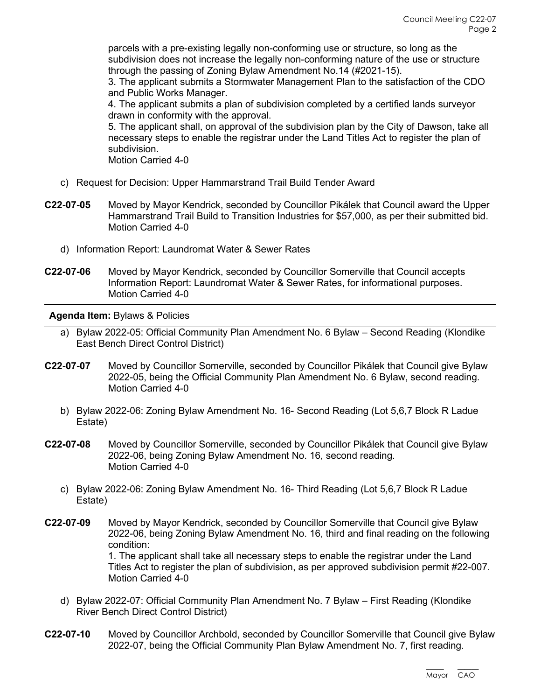parcels with a pre-existing legally non-conforming use or structure, so long as the subdivision does not increase the legally non-conforming nature of the use or structure through the passing of Zoning Bylaw Amendment No.14 (#2021-15).

3. The applicant submits a Stormwater Management Plan to the satisfaction of the CDO and Public Works Manager.

4. The applicant submits a plan of subdivision completed by a certified lands surveyor drawn in conformity with the approval.

5. The applicant shall, on approval of the subdivision plan by the City of Dawson, take all necessary steps to enable the registrar under the Land Titles Act to register the plan of subdivision.

Motion Carried 4-0

- c) Request for Decision: Upper Hammarstrand Trail Build Tender Award
- **C22-07-05** Moved by Mayor Kendrick, seconded by Councillor Pikálek that Council award the Upper Hammarstrand Trail Build to Transition Industries for \$57,000, as per their submitted bid. Motion Carried 4-0
	- d) Information Report: Laundromat Water & Sewer Rates
- **C22-07-06** Moved by Mayor Kendrick, seconded by Councillor Somerville that Council accepts Information Report: Laundromat Water & Sewer Rates, for informational purposes. Motion Carried 4-0

## **Agenda Item:** Bylaws & Policies

- a) Bylaw 2022-05: Official Community Plan Amendment No. 6 Bylaw Second Reading (Klondike East Bench Direct Control District)
- **C22-07-07** Moved by Councillor Somerville, seconded by Councillor Pikálek that Council give Bylaw 2022-05, being the Official Community Plan Amendment No. 6 Bylaw, second reading. Motion Carried 4-0
	- b) Bylaw 2022-06: Zoning Bylaw Amendment No. 16- Second Reading (Lot 5,6,7 Block R Ladue Estate)
- **C22-07-08** Moved by Councillor Somerville, seconded by Councillor Pikálek that Council give Bylaw 2022-06, being Zoning Bylaw Amendment No. 16, second reading. Motion Carried 4-0
	- c) Bylaw 2022-06: Zoning Bylaw Amendment No. 16- Third Reading (Lot 5,6,7 Block R Ladue Estate)
- **C22-07-09** Moved by Mayor Kendrick, seconded by Councillor Somerville that Council give Bylaw 2022-06, being Zoning Bylaw Amendment No. 16, third and final reading on the following condition:

1. The applicant shall take all necessary steps to enable the registrar under the Land Titles Act to register the plan of subdivision, as per approved subdivision permit #22-007. Motion Carried 4-0

- d) Bylaw 2022-07: Official Community Plan Amendment No. 7 Bylaw First Reading (Klondike River Bench Direct Control District)
- **C22-07-10** Moved by Councillor Archbold, seconded by Councillor Somerville that Council give Bylaw 2022-07, being the Official Community Plan Bylaw Amendment No. 7, first reading.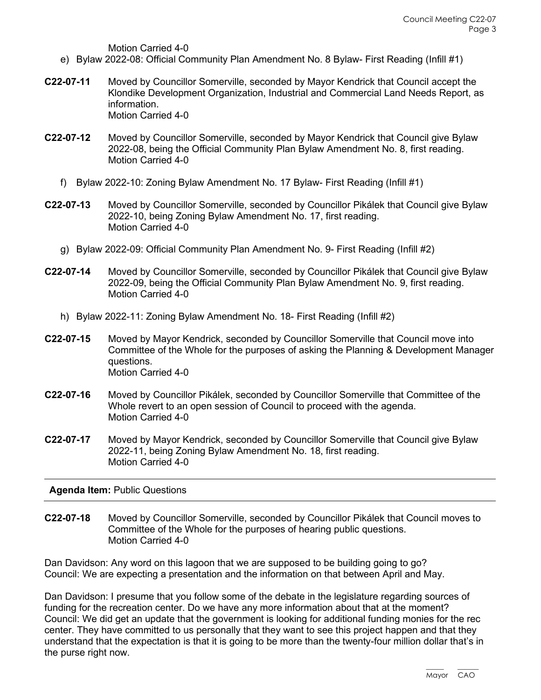Motion Carried 4-0

- e) Bylaw 2022-08: Official Community Plan Amendment No. 8 Bylaw- First Reading (Infill #1)
- **C22-07-11** Moved by Councillor Somerville, seconded by Mayor Kendrick that Council accept the Klondike Development Organization, Industrial and Commercial Land Needs Report, as information. Motion Carried 4-0
- **C22-07-12** Moved by Councillor Somerville, seconded by Mayor Kendrick that Council give Bylaw 2022-08, being the Official Community Plan Bylaw Amendment No. 8, first reading. Motion Carried 4-0
	- f) Bylaw 2022-10: Zoning Bylaw Amendment No. 17 Bylaw- First Reading (Infill #1)
- **C22-07-13** Moved by Councillor Somerville, seconded by Councillor Pikálek that Council give Bylaw 2022-10, being Zoning Bylaw Amendment No. 17, first reading. Motion Carried 4-0
	- g) Bylaw 2022-09: Official Community Plan Amendment No. 9- First Reading (Infill #2)
- **C22-07-14** Moved by Councillor Somerville, seconded by Councillor Pikálek that Council give Bylaw 2022-09, being the Official Community Plan Bylaw Amendment No. 9, first reading. Motion Carried 4-0
	- h) Bylaw 2022-11: Zoning Bylaw Amendment No. 18- First Reading (Infill #2)
- **C22-07-15** Moved by Mayor Kendrick, seconded by Councillor Somerville that Council move into Committee of the Whole for the purposes of asking the Planning & Development Manager questions. Motion Carried 4-0
- **C22-07-16** Moved by Councillor Pikálek, seconded by Councillor Somerville that Committee of the Whole revert to an open session of Council to proceed with the agenda. Motion Carried 4-0
- **C22-07-17** Moved by Mayor Kendrick, seconded by Councillor Somerville that Council give Bylaw 2022-11, being Zoning Bylaw Amendment No. 18, first reading. Motion Carried 4-0

# **Agenda Item:** Public Questions

**C22-07-18** Moved by Councillor Somerville, seconded by Councillor Pikálek that Council moves to Committee of the Whole for the purposes of hearing public questions. Motion Carried 4-0

Dan Davidson: Any word on this lagoon that we are supposed to be building going to go? Council: We are expecting a presentation and the information on that between April and May.

Dan Davidson: I presume that you follow some of the debate in the legislature regarding sources of funding for the recreation center. Do we have any more information about that at the moment? Council: We did get an update that the government is looking for additional funding monies for the rec center. They have committed to us personally that they want to see this project happen and that they understand that the expectation is that it is going to be more than the twenty-four million dollar that's in the purse right now.